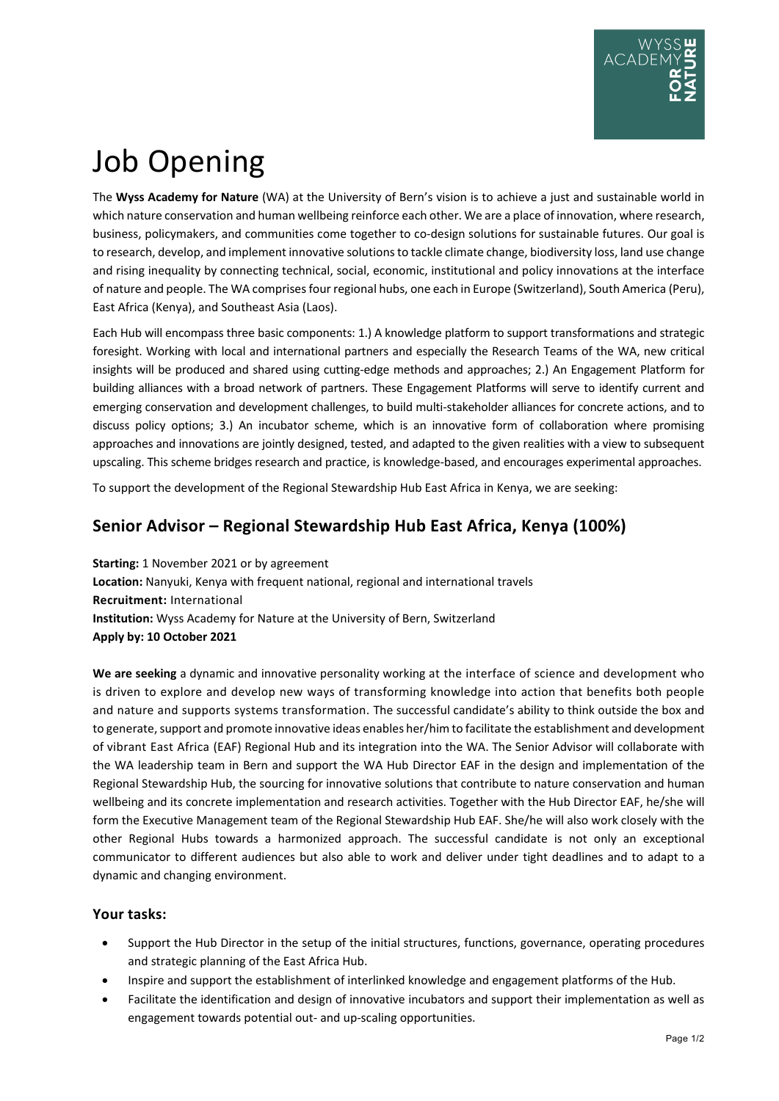# Job Opening

The **Wyss Academy for Nature** (WA) at the University of Bern's vision is to achieve a just and sustainable world in which nature conservation and human wellbeing reinforce each other. We are a place of innovation, where research, business, policymakers, and communities come together to co-design solutions for sustainable futures. Our goal is to research, develop, and implement innovative solutions to tackle climate change, biodiversity loss, land use change and rising inequality by connecting technical, social, economic, institutional and policy innovations at the interface of nature and people. The WA comprises four regional hubs, one each in Europe (Switzerland), South America (Peru), East Africa (Kenya), and Southeast Asia (Laos).

Each Hub will encompass three basic components: 1.) A knowledge platform to support transformations and strategic foresight. Working with local and international partners and especially the Research Teams of the WA, new critical insights will be produced and shared using cutting-edge methods and approaches; 2.) An Engagement Platform for building alliances with a broad network of partners. These Engagement Platforms will serve to identify current and emerging conservation and development challenges, to build multi-stakeholder alliances for concrete actions, and to discuss policy options; 3.) An incubator scheme, which is an innovative form of collaboration where promising approaches and innovations are jointly designed, tested, and adapted to the given realities with a view to subsequent upscaling. This scheme bridges research and practice, is knowledge-based, and encourages experimental approaches.

To support the development of the Regional Stewardship Hub East Africa in Kenya, we are seeking:

# **Senior Advisor – Regional Stewardship Hub East Africa, Kenya (100%)**

**Starting:** 1 November 2021 or by agreement **Location:** Nanyuki, Kenya with frequent national, regional and international travels **Recruitment:** International **Institution:** Wyss Academy for Nature at the University of Bern, Switzerland **Apply by: 10 October 2021**

**We are seeking** a dynamic and innovative personality working at the interface of science and development who is driven to explore and develop new ways of transforming knowledge into action that benefits both people and nature and supports systems transformation. The successful candidate's ability to think outside the box and to generate, support and promote innovative ideas enables her/him to facilitate the establishment and development of vibrant East Africa (EAF) Regional Hub and its integration into the WA. The Senior Advisor will collaborate with the WA leadership team in Bern and support the WA Hub Director EAF in the design and implementation of the Regional Stewardship Hub, the sourcing for innovative solutions that contribute to nature conservation and human wellbeing and its concrete implementation and research activities. Together with the Hub Director EAF, he/she will form the Executive Management team of the Regional Stewardship Hub EAF. She/he will also work closely with the other Regional Hubs towards a harmonized approach. The successful candidate is not only an exceptional communicator to different audiences but also able to work and deliver under tight deadlines and to adapt to a dynamic and changing environment.

## **Your tasks:**

- Support the Hub Director in the setup of the initial structures, functions, governance, operating procedures and strategic planning of the East Africa Hub.
- Inspire and support the establishment of interlinked knowledge and engagement platforms of the Hub.
- Facilitate the identification and design of innovative incubators and support their implementation as well as engagement towards potential out- and up-scaling opportunities.